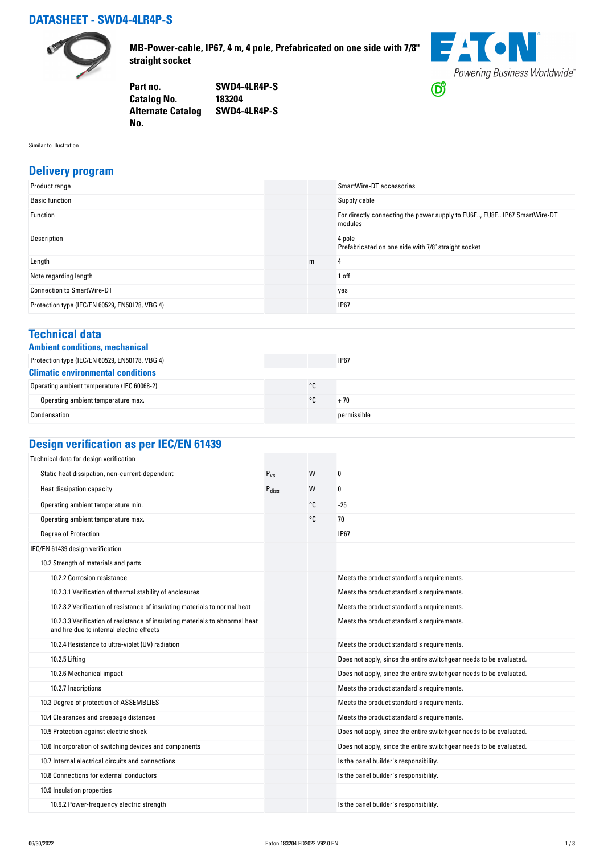## **DATASHEET - SWD4-4LR4P-S**



**MB-Power-cable, IP67, 4 m, 4 pole, Prefabricated on one side with 7/8" straight socket**



**Part no. SWD4-4LR4P-S Catalog No. Alternate Catalog SWD4-4LR4P-S No.** 

Similar to illustration

#### **Delivery program**

| Product range                                  |   | SmartWire-DT accessories                                                            |
|------------------------------------------------|---|-------------------------------------------------------------------------------------|
| <b>Basic function</b>                          |   | Supply cable                                                                        |
| Function                                       |   | For directly connecting the power supply to EU6E, EU8E IP67 SmartWire-DT<br>modules |
| Description                                    |   | 4 pole<br>Prefabricated on one side with 7/8" straight socket                       |
| Length                                         | m | 4                                                                                   |
| Note regarding length                          |   | 1 off                                                                               |
| <b>Connection to SmartWire-DT</b>              |   | yes                                                                                 |
| Protection type (IEC/EN 60529, EN50178, VBG 4) |   | <b>IP67</b>                                                                         |

#### **Technical data**

|  | <b>Ambient conditions, mechanica</b> |
|--|--------------------------------------|
|  |                                      |

| Ambient conditions, mechanical                 |    |             |  |
|------------------------------------------------|----|-------------|--|
| Protection type (IEC/EN 60529, EN50178, VBG 4) |    | <b>IP67</b> |  |
| <b>Climatic environmental conditions</b>       |    |             |  |
| Operating ambient temperature (IEC 60068-2)    | °C |             |  |
| Operating ambient temperature max.             | ۰c | + 70        |  |
| Condensation                                   |    | permissible |  |

# **Design verification as per IEC/EN 61439**

| Technical data for design verification                                                                                    |                   |    |                                                                    |
|---------------------------------------------------------------------------------------------------------------------------|-------------------|----|--------------------------------------------------------------------|
| Static heat dissipation, non-current-dependent                                                                            | $P_{VS}$          | W  | 0                                                                  |
| Heat dissipation capacity                                                                                                 | $P_{\text{diss}}$ | W  | 0                                                                  |
| Operating ambient temperature min.                                                                                        |                   | °C | $-25$                                                              |
| Operating ambient temperature max.                                                                                        |                   | °C | 70                                                                 |
| <b>Degree of Protection</b>                                                                                               |                   |    | <b>IP67</b>                                                        |
| IEC/EN 61439 design verification                                                                                          |                   |    |                                                                    |
| 10.2 Strength of materials and parts                                                                                      |                   |    |                                                                    |
| 10.2.2 Corrosion resistance                                                                                               |                   |    | Meets the product standard's requirements.                         |
| 10.2.3.1 Verification of thermal stability of enclosures                                                                  |                   |    | Meets the product standard's requirements.                         |
| 10.2.3.2 Verification of resistance of insulating materials to normal heat                                                |                   |    | Meets the product standard's requirements.                         |
| 10.2.3.3 Verification of resistance of insulating materials to abnormal heat<br>and fire due to internal electric effects |                   |    | Meets the product standard's requirements.                         |
| 10.2.4 Resistance to ultra-violet (UV) radiation                                                                          |                   |    | Meets the product standard's requirements.                         |
| 10.2.5 Lifting                                                                                                            |                   |    | Does not apply, since the entire switchgear needs to be evaluated. |
| 10.2.6 Mechanical impact                                                                                                  |                   |    | Does not apply, since the entire switchgear needs to be evaluated. |
| 10.2.7 Inscriptions                                                                                                       |                   |    | Meets the product standard's requirements.                         |
| 10.3 Degree of protection of ASSEMBLIES                                                                                   |                   |    | Meets the product standard's requirements.                         |
| 10.4 Clearances and creepage distances                                                                                    |                   |    | Meets the product standard's requirements.                         |
| 10.5 Protection against electric shock                                                                                    |                   |    | Does not apply, since the entire switchgear needs to be evaluated. |
| 10.6 Incorporation of switching devices and components                                                                    |                   |    | Does not apply, since the entire switchgear needs to be evaluated. |
| 10.7 Internal electrical circuits and connections                                                                         |                   |    | Is the panel builder's responsibility.                             |
| 10.8 Connections for external conductors                                                                                  |                   |    | Is the panel builder's responsibility.                             |
| 10.9 Insulation properties                                                                                                |                   |    |                                                                    |
| 10.9.2 Power-frequency electric strength                                                                                  |                   |    | Is the panel builder's responsibility.                             |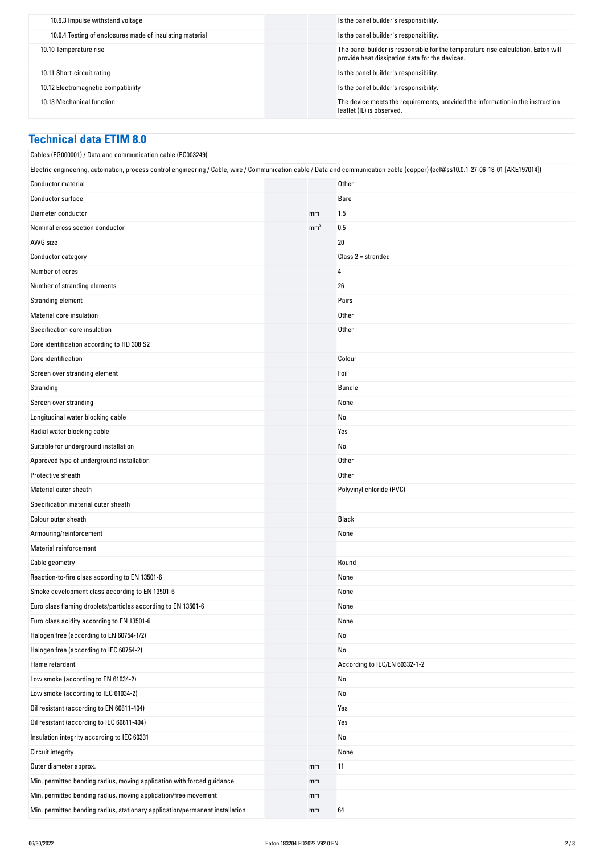| 10.9.3 Impulse withstand voltage                         | Is the panel builder's responsibility.                                                                                              |
|----------------------------------------------------------|-------------------------------------------------------------------------------------------------------------------------------------|
| 10.9.4 Testing of enclosures made of insulating material | Is the panel builder's responsibility.                                                                                              |
| 10.10 Temperature rise                                   | The panel builder is responsible for the temperature rise calculation. Eaton will<br>provide heat dissipation data for the devices. |
| 10.11 Short-circuit rating                               | Is the panel builder's responsibility.                                                                                              |
| 10.12 Electromagnetic compatibility                      | Is the panel builder's responsibility.                                                                                              |
| 10.13 Mechanical function                                | The device meets the requirements, provided the information in the instruction<br>leaflet (IL) is observed.                         |

### **Technical data ETIM 8.0**

| Cables (EG000001) / Data and communication cable (EC003249)                                                                                                                      |                 |                               |
|----------------------------------------------------------------------------------------------------------------------------------------------------------------------------------|-----------------|-------------------------------|
| Electric engineering, automation, process control engineering / Cable, wire / Communication cable / Data and communication cable (copper) (ecl@ss10.0.1-27-06-18-01 [AKE197014]) |                 |                               |
| <b>Conductor material</b>                                                                                                                                                        |                 | Other                         |
| <b>Conductor surface</b>                                                                                                                                                         |                 | Bare                          |
| Diameter conductor                                                                                                                                                               | mm              | 1.5                           |
| Nominal cross section conductor                                                                                                                                                  | mm <sup>2</sup> | 0.5                           |
| AWG size                                                                                                                                                                         |                 | 20                            |
| Conductor category                                                                                                                                                               |                 | Class $2 =$ stranded          |
| Number of cores                                                                                                                                                                  |                 | 4                             |
| Number of stranding elements                                                                                                                                                     |                 | 26                            |
| Stranding element                                                                                                                                                                |                 | Pairs                         |
| Material core insulation                                                                                                                                                         |                 | Other                         |
| Specification core insulation                                                                                                                                                    |                 | Other                         |
| Core identification according to HD 308 S2                                                                                                                                       |                 |                               |
| Core identification                                                                                                                                                              |                 | Colour                        |
| Screen over stranding element                                                                                                                                                    |                 | Foil                          |
| Stranding                                                                                                                                                                        |                 | Bundle                        |
| Screen over stranding                                                                                                                                                            |                 | None                          |
| Longitudinal water blocking cable                                                                                                                                                |                 | No                            |
| Radial water blocking cable                                                                                                                                                      |                 | Yes                           |
| Suitable for underground installation                                                                                                                                            |                 | No                            |
| Approved type of underground installation                                                                                                                                        |                 | Other                         |
| Protective sheath                                                                                                                                                                |                 | Other                         |
| Material outer sheath                                                                                                                                                            |                 | Polyvinyl chloride (PVC)      |
| Specification material outer sheath                                                                                                                                              |                 |                               |
| Colour outer sheath                                                                                                                                                              |                 | Black                         |
| Armouring/reinforcement                                                                                                                                                          |                 | None                          |
| Material reinforcement                                                                                                                                                           |                 |                               |
| Cable geometry                                                                                                                                                                   |                 | Round                         |
| Reaction-to-fire class according to EN 13501-6                                                                                                                                   |                 | None                          |
| Smoke development class according to EN 13501-6                                                                                                                                  |                 | None                          |
| Euro class flaming droplets/particles according to EN 13501-6                                                                                                                    |                 | None                          |
| Euro class acidity according to EN 13501-6                                                                                                                                       |                 | None                          |
| Halogen free (according to EN 60754-1/2)                                                                                                                                         |                 | No                            |
| Halogen free (according to IEC 60754-2)                                                                                                                                          |                 | No                            |
| Flame retardant                                                                                                                                                                  |                 | According to IEC/EN 60332-1-2 |
| Low smoke (according to EN 61034-2)                                                                                                                                              |                 | No                            |
| Low smoke (according to IEC 61034-2)                                                                                                                                             |                 | No                            |
| Oil resistant (according to EN 60811-404)                                                                                                                                        |                 | Yes                           |
| Oil resistant (according to IEC 60811-404)                                                                                                                                       |                 | Yes                           |
| Insulation integrity according to IEC 60331                                                                                                                                      |                 | No                            |
| <b>Circuit integrity</b>                                                                                                                                                         |                 | None                          |
| Outer diameter approx.                                                                                                                                                           | mm              | 11                            |
| Min. permitted bending radius, moving application with forced guidance                                                                                                           | mm              |                               |
| Min. permitted bending radius, moving application/free movement                                                                                                                  | mm              |                               |
| Min. permitted bending radius, stationary application/permanent installation                                                                                                     | mm              | 64                            |